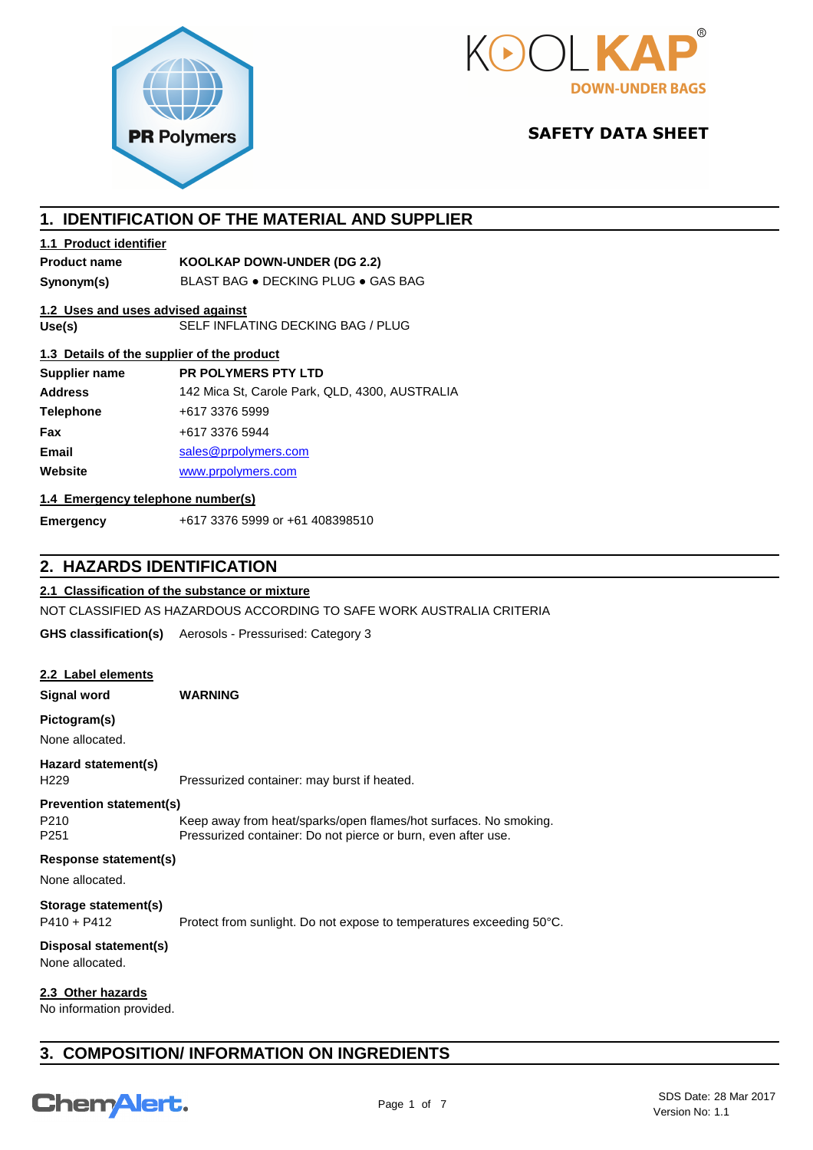



# **SAFETY DATA SHEET**

# **1. IDENTIFICATION OF THE MATERIAL AND SUPPLIER**

## **1.1 Product identifier**

# **Product name KOOLKAP DOWN-UNDER (DG 2.2)**

**Synonym(s)** BLAST BAG ● DECKING PLUG ● GAS BAG

# **1.2 Uses and uses advised against**

**Use(s)** SELF INFLATING DECKING BAG / PLUG

## **1.3 Details of the supplier of the product**

| Supplier name    | <b>PR POLYMERS PTY LTD</b>                     |
|------------------|------------------------------------------------|
| <b>Address</b>   | 142 Mica St, Carole Park, QLD, 4300, AUSTRALIA |
| <b>Telephone</b> | +617 3376 5999                                 |
| Fax              | +617 3376 5944                                 |
| Email            | sales@prpolymers.com                           |
| Website          | www.prpolymers.com                             |
|                  |                                                |

## **1.4 Emergency telephone number(s)**

**Emergency** +617 3376 5999 or +61 408398510

# **2. HAZARDS IDENTIFICATION**

## **2.1 Classification of the substance or mixture**

NOT CLASSIFIED AS HAZARDOUS ACCORDING TO SAFE WORK AUSTRALIA CRITERIA

**GHS classification(s)** Aerosols - Pressurised: Category 3

## **2.2 Label elements**

**Signal word WARNING**

# **Pictogram(s)**

None allocated.

## **Hazard statement(s)**

H229 Pressurized container: may burst if heated.

#### **Prevention statement(s)**

P210 Keep away from heat/sparks/open flames/hot surfaces. No smoking. P251 Pressurized container: Do not pierce or burn, even after use.

## **Response statement(s)**

None allocated.

## **Storage statement(s)**

P410 + P412 Protect from sunlight. Do not expose to temperatures exceeding 50°C.

# **Disposal statement(s)**

None allocated.

# **2.3 Other hazards**

No information provided.

# **3. COMPOSITION/ INFORMATION ON INGREDIENTS**

# **ChemAlert.**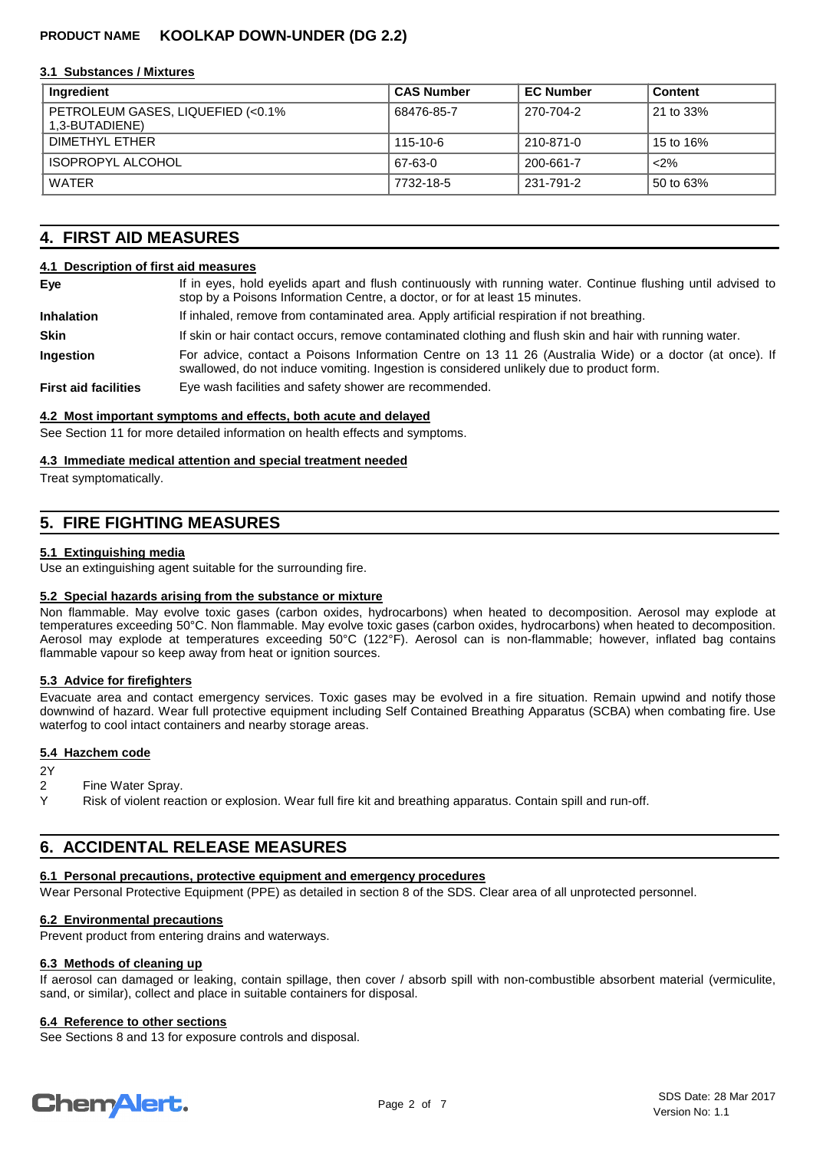#### **3.1 Substances / Mixtures**

| Ingredient                                           | <b>CAS Number</b> | <b>EC Number</b> | <b>Content</b> |
|------------------------------------------------------|-------------------|------------------|----------------|
| PETROLEUM GASES, LIQUEFIED (<0.1%)<br>1,3-BUTADIENE) | 68476-85-7        | 270-704-2        | 21 to 33%      |
| DIMETHYL FTHER                                       | 115-10-6          | 210-871-0        | 15 to 16%      |
| <b>ISOPROPYL ALCOHOL</b>                             | 67-63-0           | 200-661-7        | $2\%$          |
| WATER                                                | 7732-18-5         | 231-791-2        | 50 to 63%      |

# **4. FIRST AID MEASURES**

#### **4.1 Description of first aid measures**

| Eye                         | If in eyes, hold eyelids apart and flush continuously with running water. Continue flushing until advised to<br>stop by a Poisons Information Centre, a doctor, or for at least 15 minutes.         |  |
|-----------------------------|-----------------------------------------------------------------------------------------------------------------------------------------------------------------------------------------------------|--|
| <b>Inhalation</b>           | If inhaled, remove from contaminated area. Apply artificial respiration if not breathing.                                                                                                           |  |
| <b>Skin</b>                 | If skin or hair contact occurs, remove contaminated clothing and flush skin and hair with running water.                                                                                            |  |
| <b>Ingestion</b>            | For advice, contact a Poisons Information Centre on 13 11 26 (Australia Wide) or a doctor (at once). If<br>swallowed, do not induce vomiting. Ingestion is considered unlikely due to product form. |  |
| <b>First aid facilities</b> | Eye wash facilities and safety shower are recommended.                                                                                                                                              |  |

#### **4.2 Most important symptoms and effects, both acute and delayed**

See Section 11 for more detailed information on health effects and symptoms.

#### **4.3 Immediate medical attention and special treatment needed**

Treat symptomatically.

# **5. FIRE FIGHTING MEASURES**

#### **5.1 Extinguishing media**

Use an extinguishing agent suitable for the surrounding fire.

## **5.2 Special hazards arising from the substance or mixture**

Non flammable. May evolve toxic gases (carbon oxides, hydrocarbons) when heated to decomposition. Aerosol may explode at temperatures exceeding 50°C. Non flammable. May evolve toxic gases (carbon oxides, hydrocarbons) when heated to decomposition. Aerosol may explode at temperatures exceeding 50°C (122°F). Aerosol can is non-flammable; however, inflated bag contains flammable vapour so keep away from heat or ignition sources.

## **5.3 Advice for firefighters**

Evacuate area and contact emergency services. Toxic gases may be evolved in a fire situation. Remain upwind and notify those downwind of hazard. Wear full protective equipment including Self Contained Breathing Apparatus (SCBA) when combating fire. Use waterfog to cool intact containers and nearby storage areas.

## **5.4 Hazchem code**

#### 2Y

- 2 Fine Water Spray.
- Y Risk of violent reaction or explosion. Wear full fire kit and breathing apparatus. Contain spill and run-off.

# **6. ACCIDENTAL RELEASE MEASURES**

#### **6.1 Personal precautions, protective equipment and emergency procedures**

Wear Personal Protective Equipment (PPE) as detailed in section 8 of the SDS. Clear area of all unprotected personnel.

#### **6.2 Environmental precautions**

Prevent product from entering drains and waterways.

# **6.3 Methods of cleaning up**

If aerosol can damaged or leaking, contain spillage, then cover / absorb spill with non-combustible absorbent material (vermiculite, sand, or similar), collect and place in suitable containers for disposal.

# **6.4 Reference to other sections**

See Sections 8 and 13 for exposure controls and disposal.

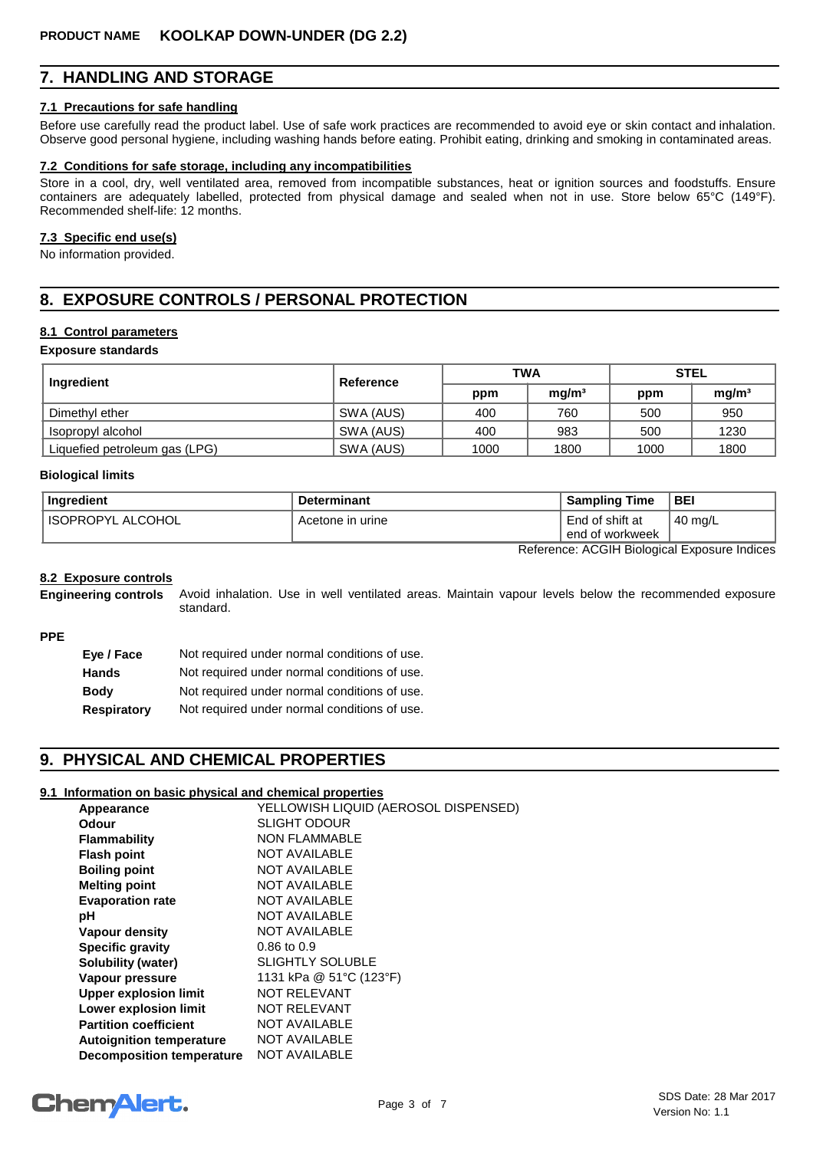# **7. HANDLING AND STORAGE**

#### **7.1 Precautions for safe handling**

Before use carefully read the product label. Use of safe work practices are recommended to avoid eye or skin contact and inhalation. Observe good personal hygiene, including washing hands before eating. Prohibit eating, drinking and smoking in contaminated areas.

#### **7.2 Conditions for safe storage, including any incompatibilities**

Store in a cool, dry, well ventilated area, removed from incompatible substances, heat or ignition sources and foodstuffs. Ensure containers are adequately labelled, protected from physical damage and sealed when not in use. Store below 65°C (149°F). Recommended shelf-life: 12 months.

#### **7.3 Specific end use(s)**

No information provided.

# **8. EXPOSURE CONTROLS / PERSONAL PROTECTION**

## **8.1 Control parameters**

#### **Exposure standards**

| Ingredient                    | Reference | <b>TWA</b> |                   | <b>STEL</b> |                   |
|-------------------------------|-----------|------------|-------------------|-------------|-------------------|
|                               |           | ppm        | mg/m <sup>3</sup> | ppm         | mg/m <sup>3</sup> |
| Dimethyl ether                | SWA (AUS) | 400        | 760               | 500         | 950               |
| ' Isopropyl alcohol           | SWA (AUS) | 400        | 983               | 500         | 1230              |
| Liquefied petroleum gas (LPG) | SWA (AUS) | 1000       | 1800              | 1000        | 1800              |

#### **Biological limits**

| Ingredient               | <b>Determinant</b> | Sampling Time                      | <b>BEI</b>         |
|--------------------------|--------------------|------------------------------------|--------------------|
| <b>ISOPROPYL ALCOHOL</b> | Acetone in urine   | End of shift at<br>end of workweek | $140 \text{ mg/L}$ |

Reference: ACGIH Biological Exposure Indices

#### **8.2 Exposure controls**

Avoid inhalation. Use in well ventilated areas. Maintain vapour levels below the recommended exposure standard. **Engineering controls**

## **PPE**

| Eve / Face  | Not required under normal conditions of use. |
|-------------|----------------------------------------------|
| Hands       | Not required under normal conditions of use. |
| Body        | Not required under normal conditions of use. |
| Respiratory | Not required under normal conditions of use. |

# **9. PHYSICAL AND CHEMICAL PROPERTIES**

#### **9.1 Information on basic physical and chemical properties**

| Appearance                       | YELLOWISH LIQUID (AEROSOL DISPENSED) |
|----------------------------------|--------------------------------------|
| Odour                            | <b>SLIGHT ODOUR</b>                  |
| <b>Flammability</b>              | <b>NON FLAMMABLE</b>                 |
| <b>Flash point</b>               | <b>NOT AVAILABLE</b>                 |
| <b>Boiling point</b>             | <b>NOT AVAILABLE</b>                 |
| <b>Melting point</b>             | <b>NOT AVAILABLE</b>                 |
| <b>Evaporation rate</b>          | NOT AVAILABLE                        |
| рH                               | <b>NOT AVAILABLE</b>                 |
| Vapour density                   | <b>NOT AVAILABLE</b>                 |
| <b>Specific gravity</b>          | $0.86$ to $0.9$                      |
| Solubility (water)               | <b>SLIGHTLY SOLUBLE</b>              |
| Vapour pressure                  | 1131 kPa @ 51°C (123°F)              |
| <b>Upper explosion limit</b>     | <b>NOT RELEVANT</b>                  |
| <b>Lower explosion limit</b>     | <b>NOT RELEVANT</b>                  |
| <b>Partition coefficient</b>     | <b>NOT AVAILABLE</b>                 |
| <b>Autoignition temperature</b>  | <b>NOT AVAILABLE</b>                 |
| <b>Decomposition temperature</b> | <b>NOT AVAILABLE</b>                 |

# **ChemAlert.**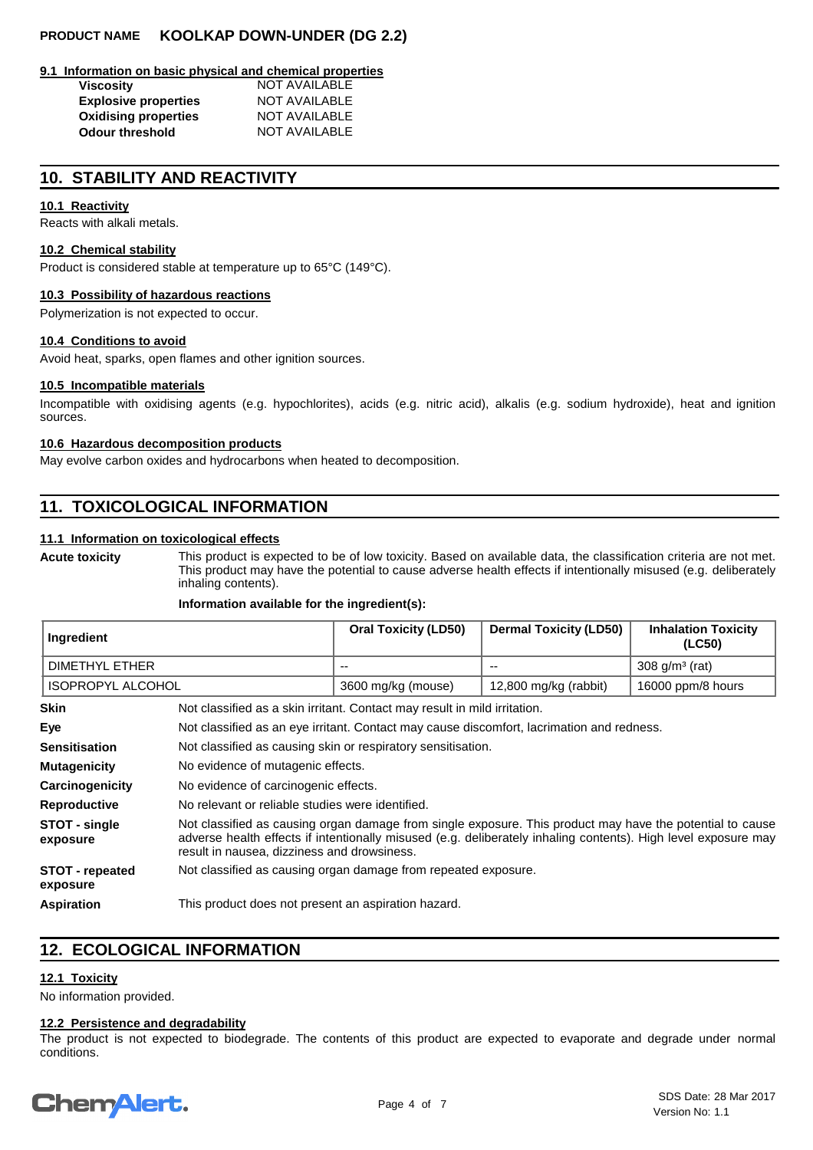#### **9.1 Information on basic physical and chemical properties**

| <b>Viscosity</b>            | <b>NOT AVAILABLE</b> |
|-----------------------------|----------------------|
| <b>Explosive properties</b> | <b>NOT AVAILABLE</b> |
| <b>Oxidising properties</b> | <b>NOT AVAILABLE</b> |
| <b>Odour threshold</b>      | <b>NOT AVAILABLE</b> |

# **10. STABILITY AND REACTIVITY**

#### **10.1 Reactivity**

Reacts with alkali metals.

#### **10.2 Chemical stability**

Product is considered stable at temperature up to 65°C (149°C).

#### **10.3 Possibility of hazardous reactions**

Polymerization is not expected to occur.

#### **10.4 Conditions to avoid**

Avoid heat, sparks, open flames and other ignition sources.

#### **10.5 Incompatible materials**

Incompatible with oxidising agents (e.g. hypochlorites), acids (e.g. nitric acid), alkalis (e.g. sodium hydroxide), heat and ignition sources.

#### **10.6 Hazardous decomposition products**

May evolve carbon oxides and hydrocarbons when heated to decomposition.

# **11. TOXICOLOGICAL INFORMATION**

#### **11.1 Information on toxicological effects**

**Acute toxicity**

This product is expected to be of low toxicity. Based on available data, the classification criteria are not met. This product may have the potential to cause adverse health effects if intentionally misused (e.g. deliberately inhaling contents).

#### **Information available for the ingredient(s):**

| ∣ Ingredient        | <b>Oral Toxicity (LD50)</b> | <b>Dermal Toxicity (LD50)</b> | <b>Inhalation Toxicity</b><br>(LC50) |
|---------------------|-----------------------------|-------------------------------|--------------------------------------|
| DIMETHYL ETHER      | $- -$                       | $- -$                         | 308 $q/m^3$ (rat)                    |
| I ISOPROPYL ALCOHOL | 3600 mg/kg (mouse)          | 12,800 mg/kg (rabbit)         | 16000 ppm/8 hours                    |

| <b>Skin</b>                        | Not classified as a skin irritant. Contact may result in mild irritation.                                                                                                                                                                                                  |
|------------------------------------|----------------------------------------------------------------------------------------------------------------------------------------------------------------------------------------------------------------------------------------------------------------------------|
| Eye                                | Not classified as an eye irritant. Contact may cause discomfort, lacrimation and redness.                                                                                                                                                                                  |
| <b>Sensitisation</b>               | Not classified as causing skin or respiratory sensitisation.                                                                                                                                                                                                               |
| <b>Mutagenicity</b>                | No evidence of mutagenic effects.                                                                                                                                                                                                                                          |
| Carcinogenicity                    | No evidence of carcinogenic effects.                                                                                                                                                                                                                                       |
| <b>Reproductive</b>                | No relevant or reliable studies were identified.                                                                                                                                                                                                                           |
| STOT - single<br>exposure          | Not classified as causing organ damage from single exposure. This product may have the potential to cause<br>adverse health effects if intentionally misused (e.g. deliberately inhaling contents). High level exposure may<br>result in nausea, dizziness and drowsiness. |
| <b>STOT</b> - repeated<br>exposure | Not classified as causing organ damage from repeated exposure.                                                                                                                                                                                                             |
| <b>Aspiration</b>                  | This product does not present an aspiration hazard.                                                                                                                                                                                                                        |

# **12. ECOLOGICAL INFORMATION**

## **12.1 Toxicity**

No information provided.

#### **12.2 Persistence and degradability**

The product is not expected to biodegrade. The contents of this product are expected to evaporate and degrade under normal conditions.

# **ChemAlert.**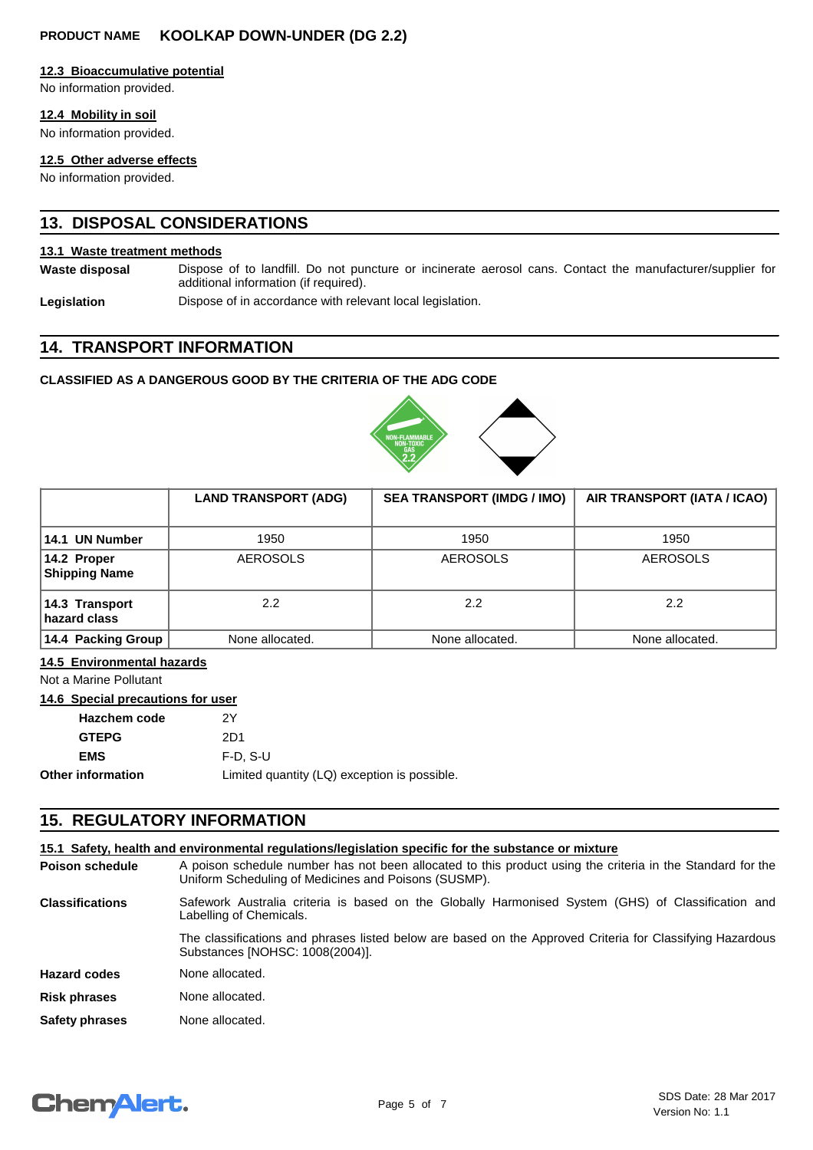#### **12.3 Bioaccumulative potential**

No information provided.

#### **12.4 Mobility in soil**

No information provided.

#### **12.5 Other adverse effects**

No information provided.

# **13. DISPOSAL CONSIDERATIONS**

#### **13.1 Waste treatment methods**

**Waste disposal**

Dispose of to landfill. Do not puncture or incinerate aerosol cans. Contact the manufacturer/supplier for additional information (if required).

**Legislation** Dispose of in accordance with relevant local legislation.

# **14. TRANSPORT INFORMATION**

## **CLASSIFIED AS A DANGEROUS GOOD BY THE CRITERIA OF THE ADG CODE**



|                                        | <b>LAND TRANSPORT (ADG)</b> | <b>SEA TRANSPORT (IMDG / IMO)</b> | AIR TRANSPORT (IATA / ICAO) |
|----------------------------------------|-----------------------------|-----------------------------------|-----------------------------|
| 14.1 UN Number                         | 1950                        | 1950                              | 1950                        |
| $ 14.2$ Proper<br><b>Shipping Name</b> | <b>AEROSOLS</b>             | <b>AEROSOLS</b>                   | <b>AEROSOLS</b>             |
| 14.3 Transport<br>hazard class         | $2.2^{\circ}$               | 2.2                               | 2.2                         |
| 14.4 Packing Group                     | None allocated.             | None allocated.                   | None allocated.             |

#### **14.5 Environmental hazards**

Not a Marine Pollutant

# **14.6 Special precautions for user**

| <b>Hazchem code</b> | 2Υ                                           |
|---------------------|----------------------------------------------|
| <b>GTEPG</b>        | 2D1                                          |
| <b>EMS</b>          | $F-D. S-U$                                   |
| Other information   | Limited quantity (LQ) exception is possible. |
|                     |                                              |

# **15. REGULATORY INFORMATION**

## **15.1 Safety, health and environmental regulations/legislation specific for the substance or mixture**

A poison schedule number has not been allocated to this product using the criteria in the Standard for the Uniform Scheduling of Medicines and Poisons (SUSMP). **Poison schedule Risk phrases** None allocated. **Safety phrases** None allocated. **Hazard codes** None allocated. Safework Australia criteria is based on the Globally Harmonised System (GHS) of Classification and Labelling of Chemicals. The classifications and phrases listed below are based on the Approved Criteria for Classifying Hazardous Substances [NOHSC: 1008(2004)]. **Classifications**

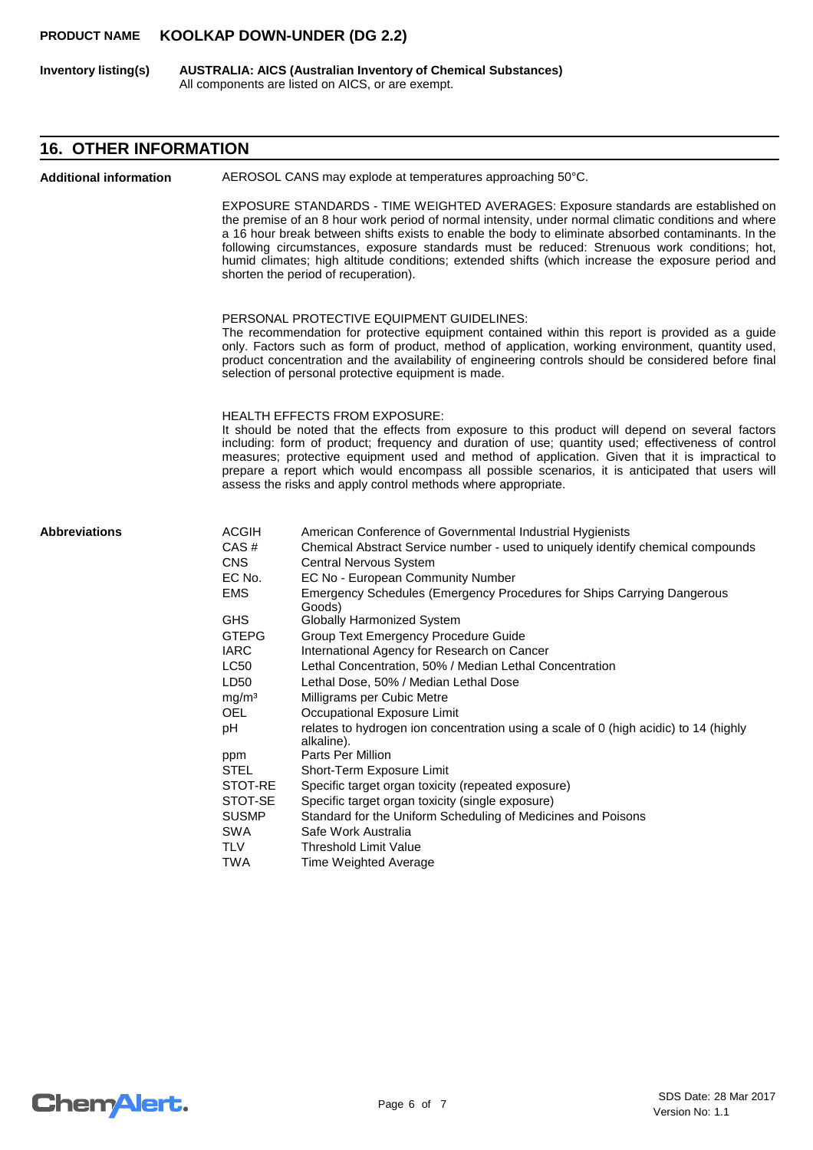**AUSTRALIA: AICS (Australian Inventory of Chemical Substances)** All components are listed on AICS, or are exempt. **Inventory listing(s)**

# **16. OTHER INFORMATION**

| <b>Additional information</b> | AEROSOL CANS may explode at temperatures approaching 50°C.                                                                                                                                                                                                                                                                                                                                                       |                                                                                                                                                                                                                                                                                                                                                                                                                                                                                                                                                                                                                                                                                                                                                                                                                                                                                                                                                                                                                |  |
|-------------------------------|------------------------------------------------------------------------------------------------------------------------------------------------------------------------------------------------------------------------------------------------------------------------------------------------------------------------------------------------------------------------------------------------------------------|----------------------------------------------------------------------------------------------------------------------------------------------------------------------------------------------------------------------------------------------------------------------------------------------------------------------------------------------------------------------------------------------------------------------------------------------------------------------------------------------------------------------------------------------------------------------------------------------------------------------------------------------------------------------------------------------------------------------------------------------------------------------------------------------------------------------------------------------------------------------------------------------------------------------------------------------------------------------------------------------------------------|--|
|                               |                                                                                                                                                                                                                                                                                                                                                                                                                  | EXPOSURE STANDARDS - TIME WEIGHTED AVERAGES: Exposure standards are established on<br>the premise of an 8 hour work period of normal intensity, under normal climatic conditions and where<br>a 16 hour break between shifts exists to enable the body to eliminate absorbed contaminants. In the<br>following circumstances, exposure standards must be reduced: Strenuous work conditions; hot,<br>humid climates; high altitude conditions; extended shifts (which increase the exposure period and<br>shorten the period of recuperation).                                                                                                                                                                                                                                                                                                                                                                                                                                                                 |  |
|                               | PERSONAL PROTECTIVE EQUIPMENT GUIDELINES:<br>The recommendation for protective equipment contained within this report is provided as a guide<br>only. Factors such as form of product, method of application, working environment, quantity used,<br>product concentration and the availability of engineering controls should be considered before final<br>selection of personal protective equipment is made. |                                                                                                                                                                                                                                                                                                                                                                                                                                                                                                                                                                                                                                                                                                                                                                                                                                                                                                                                                                                                                |  |
|                               |                                                                                                                                                                                                                                                                                                                                                                                                                  | <b>HEALTH EFFECTS FROM EXPOSURE:</b><br>It should be noted that the effects from exposure to this product will depend on several factors<br>including: form of product; frequency and duration of use; quantity used; effectiveness of control<br>measures; protective equipment used and method of application. Given that it is impractical to<br>prepare a report which would encompass all possible scenarios, it is anticipated that users will<br>assess the risks and apply control methods where appropriate.                                                                                                                                                                                                                                                                                                                                                                                                                                                                                          |  |
| <b>Abbreviations</b>          | <b>ACGIH</b><br>CAS#<br><b>CNS</b><br>EC No.<br><b>EMS</b><br><b>GHS</b><br><b>GTEPG</b><br><b>IARC</b><br>LC50<br>LD50<br>mg/m <sup>3</sup><br>OEL<br>рH<br>ppm<br>STEL<br>STOT-RE<br>STOT-SE<br><b>SUSMP</b><br>SWA<br>TLV<br>TWA                                                                                                                                                                              | American Conference of Governmental Industrial Hygienists<br>Chemical Abstract Service number - used to uniquely identify chemical compounds<br><b>Central Nervous System</b><br>EC No - European Community Number<br>Emergency Schedules (Emergency Procedures for Ships Carrying Dangerous<br>Goods)<br>Globally Harmonized System<br>Group Text Emergency Procedure Guide<br>International Agency for Research on Cancer<br>Lethal Concentration, 50% / Median Lethal Concentration<br>Lethal Dose, 50% / Median Lethal Dose<br>Milligrams per Cubic Metre<br>Occupational Exposure Limit<br>relates to hydrogen ion concentration using a scale of 0 (high acidic) to 14 (highly<br>alkaline).<br>Parts Per Million<br>Short-Term Exposure Limit<br>Specific target organ toxicity (repeated exposure)<br>Specific target organ toxicity (single exposure)<br>Standard for the Uniform Scheduling of Medicines and Poisons<br>Safe Work Australia<br><b>Threshold Limit Value</b><br>Time Weighted Average |  |